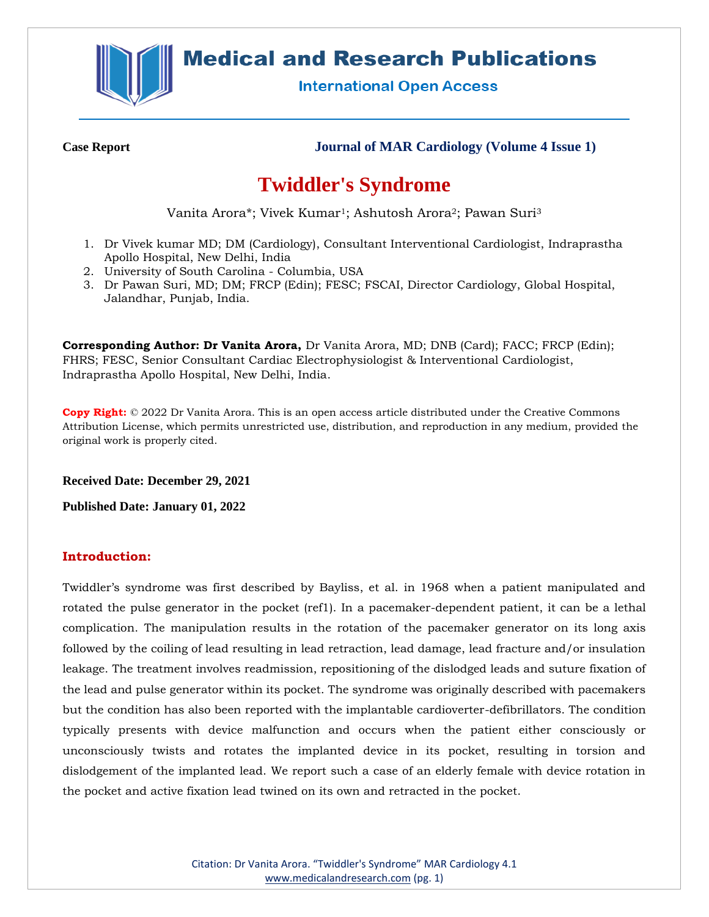

## **Medical and Research Publications**

**International Open Access** 

**Case Report Journal of MAR Cardiology (Volume 4 Issue 1)**

# **Twiddler's Syndrome**

Vanita Arora\*; Vivek Kumar1; Ashutosh Arora2; Pawan Suri<sup>3</sup>

- 1. Dr Vivek kumar MD; DM (Cardiology), Consultant Interventional Cardiologist, Indraprastha Apollo Hospital, New Delhi, India
- 2. University of South Carolina Columbia, USA
- 3. Dr Pawan Suri, MD; DM; FRCP (Edin); FESC; FSCAI, Director Cardiology, Global Hospital, Jalandhar, Punjab, India.

**Corresponding Author: Dr Vanita Arora,** Dr Vanita Arora, MD; DNB (Card); FACC; FRCP (Edin); FHRS; FESC, Senior Consultant Cardiac Electrophysiologist & Interventional Cardiologist, Indraprastha Apollo Hospital, New Delhi, India.

**Copy Right:** © 2022 Dr Vanita Arora. This is an open access article distributed under the Creative Commons Attribution License, which permits unrestricted use, distribution, and reproduction in any medium, provided the original work is properly cited.

**Received Date: December 29, 2021**

**Published Date: January 01, 2022**

## **Introduction:**

Twiddler's syndrome was first described by Bayliss, et al. in 1968 when a patient manipulated and rotated the pulse generator in the pocket (ref1). In a pacemaker-dependent patient, it can be a lethal complication. The manipulation results in the rotation of the pacemaker generator on its long axis followed by the coiling of lead resulting in lead retraction, lead damage, lead fracture and/or insulation leakage. The treatment involves readmission, repositioning of the dislodged leads and suture fixation of the lead and pulse generator within its pocket. The syndrome was originally described with pacemakers but the condition has also been reported with the implantable cardioverter-defibrillators. The condition typically presents with device malfunction and occurs when the patient either consciously or unconsciously twists and rotates the implanted device in its pocket, resulting in torsion and dislodgement of the implanted lead. We report such a case of an elderly female with device rotation in the pocket and active fixation lead twined on its own and retracted in the pocket.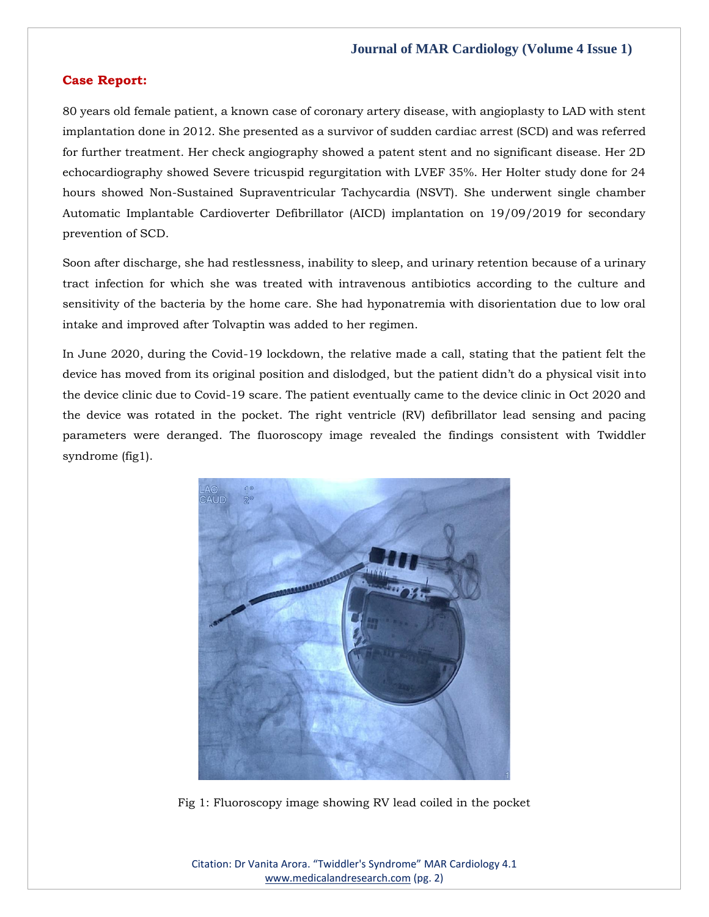### **Journal of MAR Cardiology (Volume 4 Issue 1)**

#### **Case Report:**

80 years old female patient, a known case of coronary artery disease, with angioplasty to LAD with stent implantation done in 2012. She presented as a survivor of sudden cardiac arrest (SCD) and was referred for further treatment. Her check angiography showed a patent stent and no significant disease. Her 2D echocardiography showed Severe tricuspid regurgitation with LVEF 35%. Her Holter study done for 24 hours showed Non-Sustained Supraventricular Tachycardia (NSVT). She underwent single chamber Automatic Implantable Cardioverter Defibrillator (AICD) implantation on 19/09/2019 for secondary prevention of SCD.

Soon after discharge, she had restlessness, inability to sleep, and urinary retention because of a urinary tract infection for which she was treated with intravenous antibiotics according to the culture and sensitivity of the bacteria by the home care. She had hyponatremia with disorientation due to low oral intake and improved after Tolvaptin was added to her regimen.

In June 2020, during the Covid-19 lockdown, the relative made a call, stating that the patient felt the device has moved from its original position and dislodged, but the patient didn't do a physical visit into the device clinic due to Covid-19 scare. The patient eventually came to the device clinic in Oct 2020 and the device was rotated in the pocket. The right ventricle (RV) defibrillator lead sensing and pacing parameters were deranged. The fluoroscopy image revealed the findings consistent with Twiddler syndrome (fig1).



Fig 1: Fluoroscopy image showing RV lead coiled in the pocket

Citation: Dr Vanita Arora. "Twiddler's Syndrome" MAR Cardiology 4.1 [www.medicalandresearch.com](http://www.medicalandresearch.com/) (pg. 2)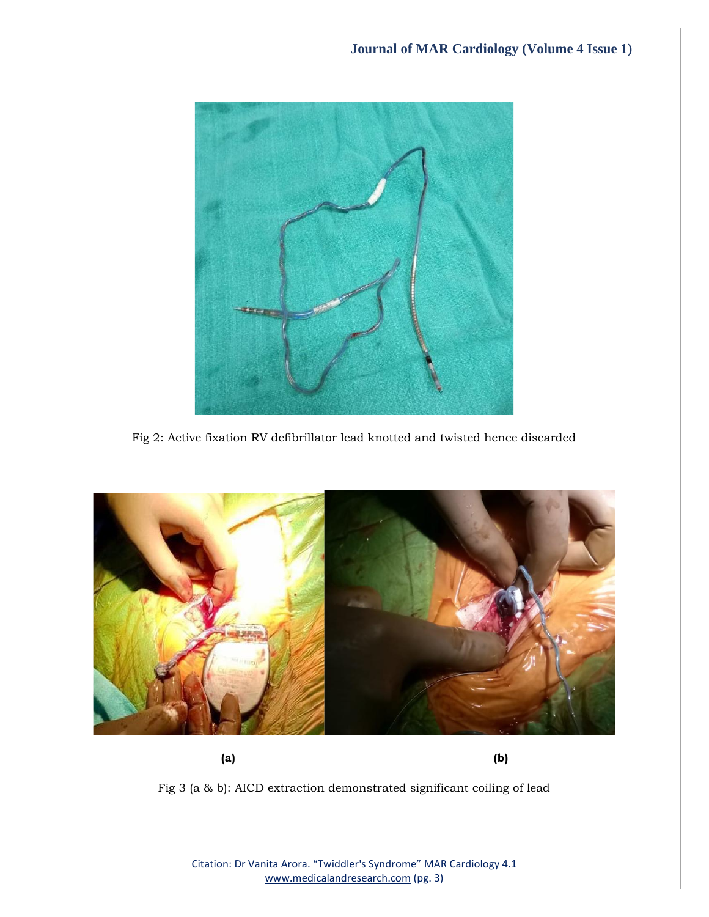

Fig 2: Active fixation RV defibrillator lead knotted and twisted hence discarded



**(a) (b)**

Fig 3 (a & b): AICD extraction demonstrated significant coiling of lead

Citation: Dr Vanita Arora. "Twiddler's Syndrome" MAR Cardiology 4.1 [www.medicalandresearch.com](http://www.medicalandresearch.com/) (pg. 3)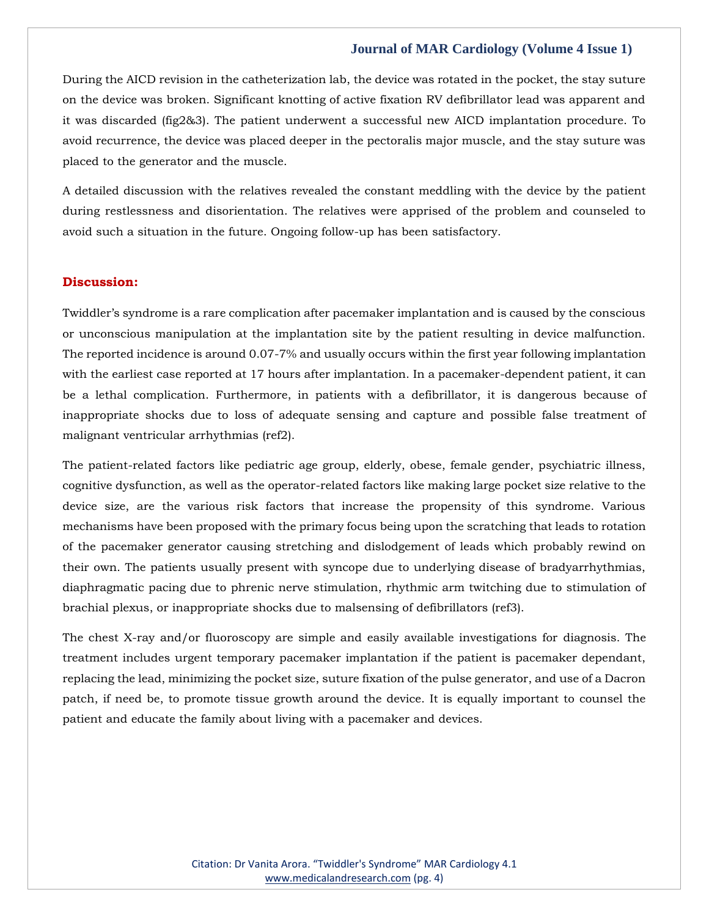#### **Journal of MAR Cardiology (Volume 4 Issue 1)**

During the AICD revision in the catheterization lab, the device was rotated in the pocket, the stay suture on the device was broken. Significant knotting of active fixation RV defibrillator lead was apparent and it was discarded (fig2&3). The patient underwent a successful new AICD implantation procedure. To avoid recurrence, the device was placed deeper in the pectoralis major muscle, and the stay suture was placed to the generator and the muscle.

A detailed discussion with the relatives revealed the constant meddling with the device by the patient during restlessness and disorientation. The relatives were apprised of the problem and counseled to avoid such a situation in the future. Ongoing follow-up has been satisfactory.

#### **Discussion:**

Twiddler's syndrome is a rare complication after pacemaker implantation and is caused by the conscious or unconscious manipulation at the implantation site by the patient resulting in device malfunction. The reported incidence is around 0.07-7% and usually occurs within the first year following implantation with the earliest case reported at 17 hours after implantation. In a pacemaker-dependent patient, it can be a lethal complication. Furthermore, in patients with a defibrillator, it is dangerous because of inappropriate shocks due to loss of adequate sensing and capture and possible false treatment of malignant ventricular arrhythmias (ref2).

The patient-related factors like pediatric age group, elderly, obese, female gender, psychiatric illness, cognitive dysfunction, as well as the operator-related factors like making large pocket size relative to the device size, are the various risk factors that increase the propensity of this syndrome. Various mechanisms have been proposed with the primary focus being upon the scratching that leads to rotation of the pacemaker generator causing stretching and dislodgement of leads which probably rewind on their own. The patients usually present with syncope due to underlying disease of bradyarrhythmias, diaphragmatic pacing due to phrenic nerve stimulation, rhythmic arm twitching due to stimulation of brachial plexus, or inappropriate shocks due to malsensing of defibrillators (ref3).

The chest X-ray and/or fluoroscopy are simple and easily available investigations for diagnosis. The treatment includes urgent temporary pacemaker implantation if the patient is pacemaker dependant, replacing the lead, minimizing the pocket size, suture fixation of the pulse generator, and use of a Dacron patch, if need be, to promote tissue growth around the device. It is equally important to counsel the patient and educate the family about living with a pacemaker and devices.